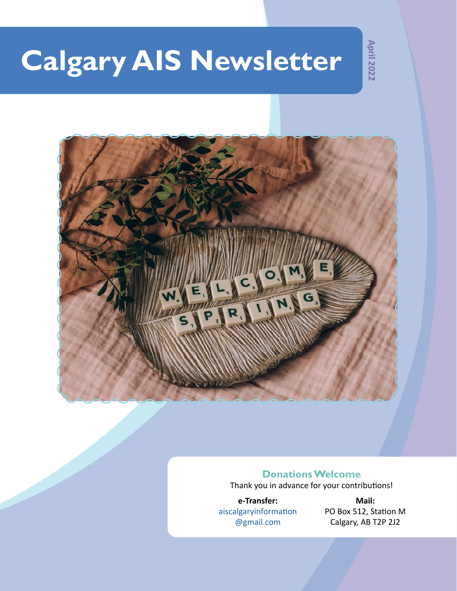# **Calgary AIS Newsletter**

**April 2022**



### **Donations Welcome**

Thank you in advance for your contributions!

**e-Transfer:** aiscalgaryinformation @gmail.com

**Mail:** PO Box 512, Station M Calgary, AB T2P 2J2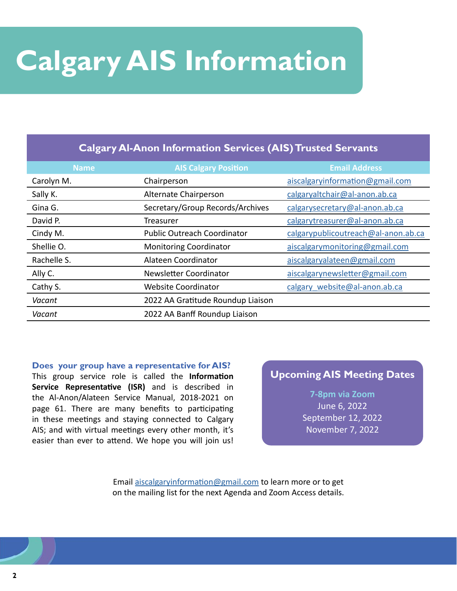# **Calgary AIS Information**

### **Calgary Al-Anon Information Services (AIS) Trusted Servants**

| <b>Name</b> | <b>AIS Calgary Position</b>        | <b>Email Address</b>                |
|-------------|------------------------------------|-------------------------------------|
| Carolyn M.  | Chairperson                        | aiscalgaryinformation@gmail.com     |
| Sally K.    | Alternate Chairperson              | calgaryaltchair@al-anon.ab.ca       |
| Gina G.     | Secretary/Group Records/Archives   | calgarysecretary@al-anon.ab.ca      |
| David P.    | Treasurer                          | calgarytreasurer@al-anon.ab.ca      |
| Cindy M.    | <b>Public Outreach Coordinator</b> | calgarypublicoutreach@al-anon.ab.ca |
| Shellie O.  | <b>Monitoring Coordinator</b>      | aiscalgarymonitoring@gmail.com      |
| Rachelle S. | Alateen Coordinator                | aiscalgaryalateen@gmail.com         |
| Ally C.     | Newsletter Coordinator             | aiscalgarynewsletter@gmail.com      |
| Cathy S.    | <b>Website Coordinator</b>         | calgary website@al-anon.ab.ca       |
| Vacant      | 2022 AA Gratitude Roundup Liaison  |                                     |
| Vacant      | 2022 AA Banff Roundup Liaison      |                                     |

**Does your group have a representative for AIS?**

This group service role is called the **Information Service Representative (ISR)** and is described in the Al-Anon/Alateen Service Manual, 2018-2021 on page 61. There are many benefits to participating in these meetings and staying connected to Calgary AIS; and with virtual meetings every other month, it's easier than ever to attend. We hope you will join us!

### **Upcoming AIS Meeting Dates**

### **7-8pm via Zoom**

June 6, 2022 September 12, 2022 November 7, 2022

Email [aiscalgaryinformation@gmail.com](mailto:aiscalgaryinformation%40gmail.com?subject=) to learn more or to get on the mailing list for the next Agenda and Zoom Access details.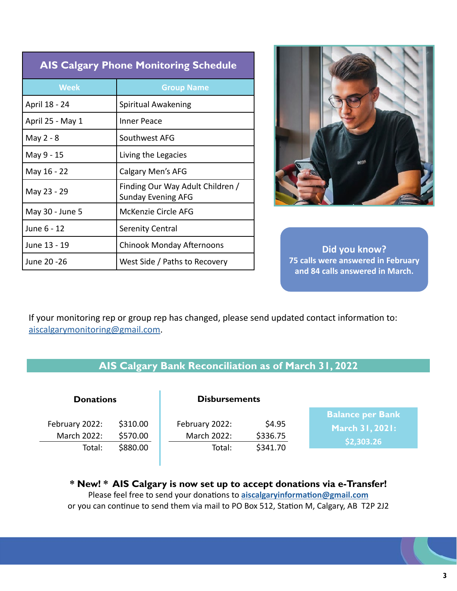| <b>AIS Calgary Phone Monitoring Schedule</b> |                                                               |
|----------------------------------------------|---------------------------------------------------------------|
| <b>Week</b>                                  | <b>Group Name</b>                                             |
| April 18 - 24                                | Spiritual Awakening                                           |
| April 25 - May 1                             | Inner Peace                                                   |
| May 2 - 8                                    | Southwest AFG                                                 |
| May 9 - 15                                   | Living the Legacies                                           |
| May 16 - 22                                  | Calgary Men's AFG                                             |
| May 23 - 29                                  | Finding Our Way Adult Children /<br><b>Sunday Evening AFG</b> |
| May 30 - June 5                              | McKenzie Circle AFG                                           |
| June 6 - 12                                  | <b>Serenity Central</b>                                       |
| June 13 - 19                                 | <b>Chinook Monday Afternoons</b>                              |
| June 20 - 26                                 | West Side / Paths to Recovery                                 |



**Did you know? 75 calls were answered in February and 84 calls answered in March.**

If your monitoring rep or group rep has changed, please send updated contact information to: [aiscalgarymonitoring@gmail.com.](mailto:aiscalgarymonitoring%40gmail.com?subject=)

| AIS Calgary Bank Reconciliation as of March 31, 2022 |  |
|------------------------------------------------------|--|
|                                                      |  |

| <b>Donations</b>              |                      | <b>Disbursements</b>          |                    |                                                          |
|-------------------------------|----------------------|-------------------------------|--------------------|----------------------------------------------------------|
| February 2022:<br>March 2022: | \$310.00<br>\$570.00 | February 2022:<br>March 2022: | \$4.95<br>\$336.75 | <b>Balance per Bank</b><br>March 31, 2021:<br>\$2,303.26 |
| Total:                        | \$880.00             | Total:                        | \$341.70           |                                                          |

**\* New! \* AIS Calgary is now set up to accept donations via e-Transfer!** Please feel free to send your donations to **aiscalgaryinformation@gmail.com** or you can continue to send them via mail to PO Box 512, Station M, Calgary, AB T2P 2J2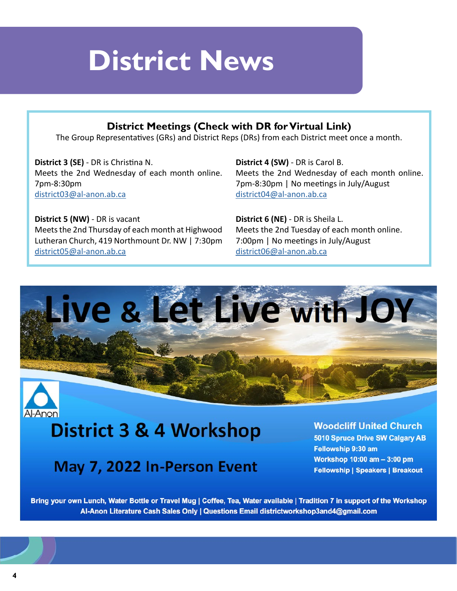

### **District Meetings (Check with DR for Virtual Link)**

The Group Representatives (GRs) and District Reps (DRs) from each District meet once a month.

**District 3 (SE)** - DR is Christina N. Meets the 2nd Wednesday of each month online. 7pm-8:30pm [district03@al-anon.ab.ca](mailto:district03%40al-anon.ab.ca?subject=)

**District 5 (NW)** - DR is vacant Meets the 2nd Thursday of each month at Highwood Lutheran Church, 419 Northmount Dr. NW | 7:30pm [district05@al-anon.ab.ca](mailto:district05%40al-anon.ab.ca?subject=)

**District 4 (SW)** - DR is Carol B. Meets the 2nd Wednesday of each month online. 7pm-8:30pm | No meetings in July/August [district04@al-anon.ab.ca](mailto:district04%40al-anon.ab.ca?subject=)

**District 6 (NE)** - DR is Sheila L. Meets the 2nd Tuesday of each month online. 7:00pm | No meetings in July/August [district06@al-anon.ab.ca](mailto:district06%40al-anon.ab.ca?subject=)



## District 3 & 4 Workshop

### May 7, 2022 In-Person Event

**Woodcliff United Church** 

5010 Spruce Drive SW Calgary AB Fellowship 9:30 am Workshop 10:00 am - 3:00 pm **Fellowship | Speakers | Breakout** 

Bring your own Lunch, Water Bottle or Travel Mug | Coffee, Tea, Water available | Tradition 7 in support of the Workshop Al-Anon Literature Cash Sales Only | Questions Email districtworkshop3and4@gmail.com

Al-Anon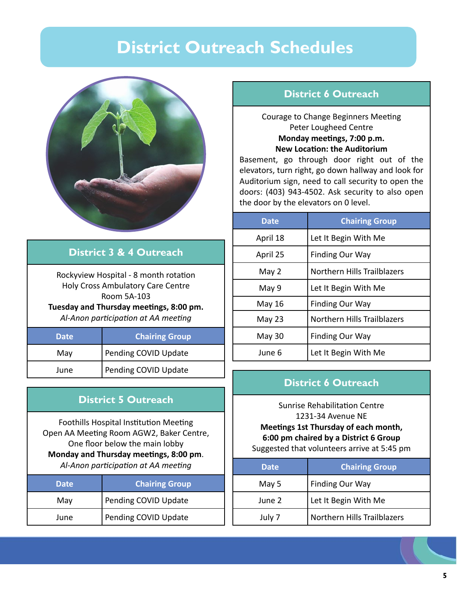### **District Outreach Schedules**



### **District 3 & 4 Outreach**

Rockyview Hospital - 8 month rotation Holy Cross Ambulatory Care Centre Room 5A-103 **Tuesday and Thursday meetings, 8:00 pm.** *Al-Anon participation at AA meeting*

| <b>Date</b> | <b>Chairing Group</b> |
|-------------|-----------------------|
| May         | Pending COVID Update  |
| June        | Pending COVID Update  |

### **District 5 Outreach**

Foothills Hospital Institution Meeting Open AA Meeting Room AGW2, Baker Centre, One floor below the main lobby **Monday and Thursday meetings, 8:00 pm**. *Al-Anon participation at AA meeting*

| <b>Date</b> | <b>Chairing Group</b> |
|-------------|-----------------------|
| May         | Pending COVID Update  |
| June        | Pending COVID Update  |

### **District 6 Outreach**

### Courage to Change Beginners Meeting Peter Lougheed Centre **Monday meetings, 7:00 p.m. New Location: the Auditorium**

Basement, go through door right out of the elevators, turn right, go down hallway and look for Auditorium sign, need to call security to open the doors: (403) 943-4502. Ask security to also open the door by the elevators on 0 level.

| <b>Date</b> | <b>Chairing Group</b>       |
|-------------|-----------------------------|
| April 18    | Let It Begin With Me        |
| April 25    | <b>Finding Our Way</b>      |
| May 2       | Northern Hills Trailblazers |
| May 9       | Let It Begin With Me        |
| May 16      | <b>Finding Our Way</b>      |
| May 23      | Northern Hills Trailblazers |
| May 30      | <b>Finding Our Way</b>      |
| June 6      | Let It Begin With Me        |

### **District 6 Outreach**

Sunrise Rehabilitation Centre 1231-34 Avenue NE **Meetings 1st Thursday of each month, 6:00 pm chaired by a District 6 Group** Suggested that volunteers arrive at 5:45 pm

| <b>Date</b> | <b>Chairing Group</b>       |
|-------------|-----------------------------|
| May 5       | Finding Our Way             |
| June 2      | Let It Begin With Me        |
| July 7      | Northern Hills Trailblazers |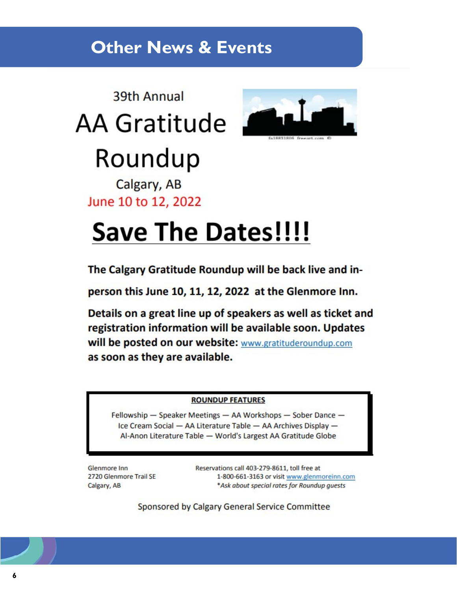### **Other News & Events**

## 39th Annual AA Gratitude



# Roundup

Calgary, AB June 10 to 12, 2022

# **Save The Dates!!!!**

The Calgary Gratitude Roundup will be back live and in-

person this June 10, 11, 12, 2022 at the Glenmore Inn.

Details on a great line up of speakers as well as ticket and registration information will be available soon. Updates will be posted on our website: www.gratituderoundup.com as soon as they are available.

### **ROUNDUP FEATURES**

Fellowship - Speaker Meetings - AA Workshops - Sober Dance -Ice Cream Social - AA Literature Table - AA Archives Display -Al-Anon Literature Table - World's Largest AA Gratitude Globe

Glenmore Inn 2720 Glenmore Trail SE Calgary, AB

Reservations call 403-279-8611, toll free at 1-800-661-3163 or visit www.glenmoreinn.com \*Ask about special rates for Roundup guests

Sponsored by Calgary General Service Committee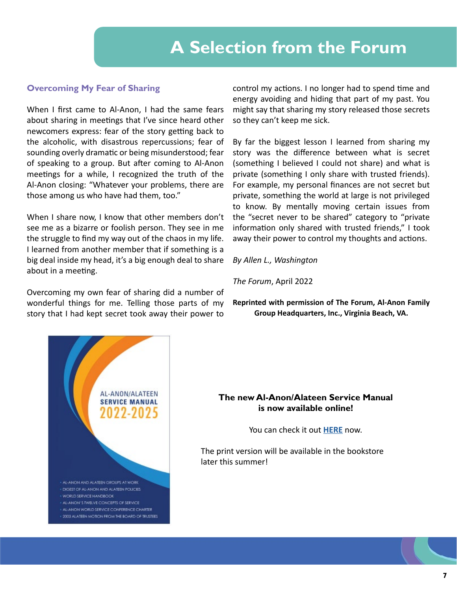### **A Selection from the Forum**

### **Overcoming My Fear of Sharing**

When I first came to Al-Anon, I had the same fears about sharing in meetings that I've since heard other newcomers express: fear of the story getting back to the alcoholic, with disastrous repercussions; fear of sounding overly dramatic or being misunderstood; fear of speaking to a group. But after coming to Al-Anon meetings for a while, I recognized the truth of the Al-Anon closing: "Whatever your problems, there are those among us who have had them, too."

When I share now, I know that other members don't see me as a bizarre or foolish person. They see in me the struggle to find my way out of the chaos in my life. I learned from another member that if something is a big deal inside my head, it's a big enough deal to share about in a meeting.

Overcoming my own fear of sharing did a number of wonderful things for me. Telling those parts of my story that I had kept secret took away their power to

control my actions. I no longer had to spend time and energy avoiding and hiding that part of my past. You might say that sharing my story released those secrets so they can't keep me sick.

By far the biggest lesson I learned from sharing my story was the difference between what is secret (something I believed I could not share) and what is private (something I only share with trusted friends). For example, my personal finances are not secret but private, something the world at large is not privileged to know. By mentally moving certain issues from the "secret never to be shared" category to "private information only shared with trusted friends," I took away their power to control my thoughts and actions.

*By Allen L., Washington*

*The Forum*, April 2022

**Reprinted with permission of The Forum, Al-Anon Family Group Headquarters, Inc., Virginia Beach, VA.**



### **The new Al-Anon/Alateen Service Manual is now available online!**

You can check it out **[HERE](https://al-anon.org/for-members/members-resources/manuals-and-guidelines/service-manual/)** now.

The print version will be available in the bookstore later this summer!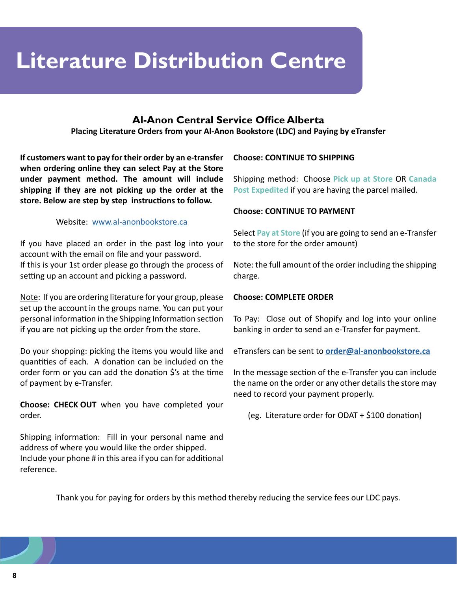## **Literature Distribution Centre**

### **Al-Anon Central Service Office Alberta**

**Placing Literature Orders from your Al-Anon Bookstore (LDC) and Paying by eTransfer**

**If customers want to pay for their order by an e-transfer when ordering online they can select Pay at the Store under payment method. The amount will include shipping if they are not picking up the order at the store. Below are step by step instructions to follow.**

#### Website: [www.al-anonbookstore.ca](http://www.al-anonbookstore.ca)

If you have placed an order in the past log into your account with the email on file and your password. If this is your 1st order please go through the process of setting up an account and picking a password.

Note: If you are ordering literature for your group, please set up the account in the groups name. You can put your personal information in the Shipping Information section if you are not picking up the order from the store.

Do your shopping: picking the items you would like and quantities of each. A donation can be included on the order form or you can add the donation \$'s at the time of payment by e-Transfer.

**Choose: CHECK OUT** when you have completed your order.

Shipping information: Fill in your personal name and address of where you would like the order shipped. Include your phone # in this area if you can for additional reference.

### **Choose: CONTINUE TO SHIPPING**

Shipping method: Choose **Pick up at Store** OR **Canada Post Expedited** if you are having the parcel mailed.

#### **Choose: CONTINUE TO PAYMENT**

Select **Pay at Store** (if you are going to send an e-Transfer to the store for the order amount)

Note: the full amount of the order including the shipping charge.

#### **Choose: COMPLETE ORDER**

To Pay: Close out of Shopify and log into your online banking in order to send an e-Transfer for payment.

eTransfers can be sent to **[order@al-anonbookstore.ca](http://order@al-anonbookstore.ca)**

In the message section of the e-Transfer you can include the name on the order or any other details the store may need to record your payment properly.

(eg. Literature order for ODAT + \$100 donation)

Thank you for paying for orders by this method thereby reducing the service fees our LDC pays.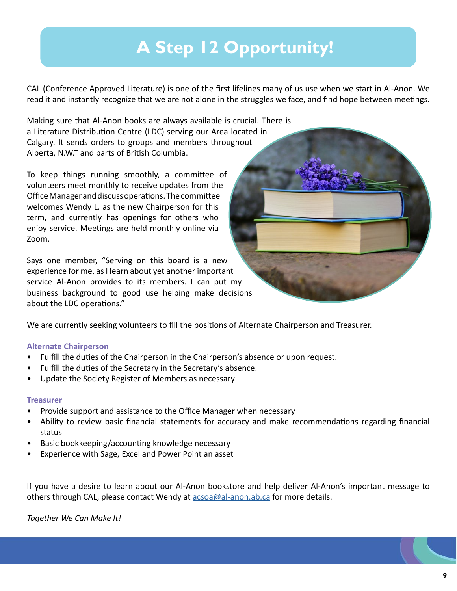## **A Step 12 Opportunity!**

CAL (Conference Approved Literature) is one of the first lifelines many of us use when we start in Al-Anon. We read it and instantly recognize that we are not alone in the struggles we face, and find hope between meetings.

Making sure that Al-Anon books are always available is crucial. There is a Literature Distribution Centre (LDC) serving our Area located in Calgary. It sends orders to groups and members throughout Alberta, N.W.T and parts of British Columbia.

To keep things running smoothly, a committee of volunteers meet monthly to receive updates from the Office Manager and discuss operations. The committee welcomes Wendy L. as the new Chairperson for this term, and currently has openings for others who enjoy service. Meetings are held monthly online via Zoom.

Says one member, "Serving on this board is a new experience for me, as I learn about yet another important service Al-Anon provides to its members. I can put my business background to good use helping make decisions about the LDC operations."

We are currently seeking volunteers to fill the positions of Alternate Chairperson and Treasurer.

### **Alternate Chairperson**

- Fulfill the duties of the Chairperson in the Chairperson's absence or upon request.
- Fulfill the duties of the Secretary in the Secretary's absence.
- Update the Society Register of Members as necessary

### **Treasurer**

- Provide support and assistance to the Office Manager when necessary
- Ability to review basic financial statements for accuracy and make recommendations regarding financial status
- Basic bookkeeping/accounting knowledge necessary
- Experience with Sage, Excel and Power Point an asset

If you have a desire to learn about our Al-Anon bookstore and help deliver Al-Anon's important message to others through CAL, please contact Wendy at [acsoa@al-anon.ab.ca](mailto:acsoa%40al-anon.ab.ca%20?subject=) for more details.

*Together We Can Make It!*